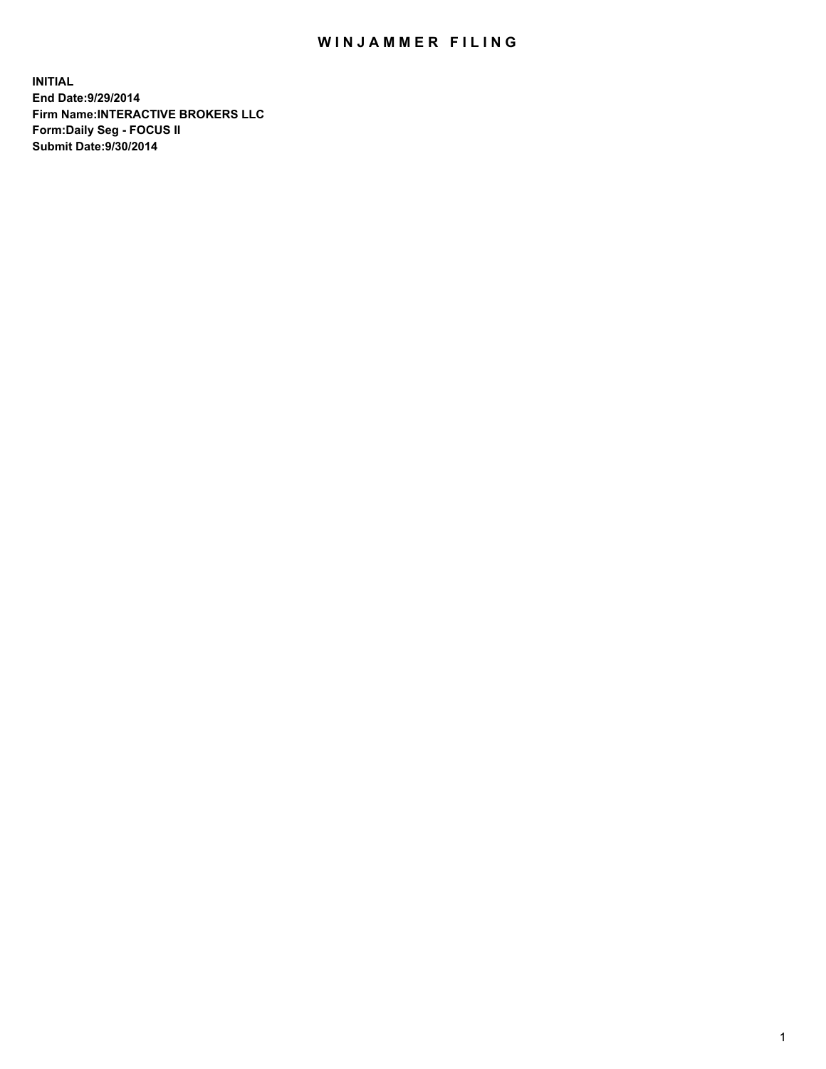## WIN JAMMER FILING

**INITIAL End Date:9/29/2014 Firm Name:INTERACTIVE BROKERS LLC Form:Daily Seg - FOCUS II Submit Date:9/30/2014**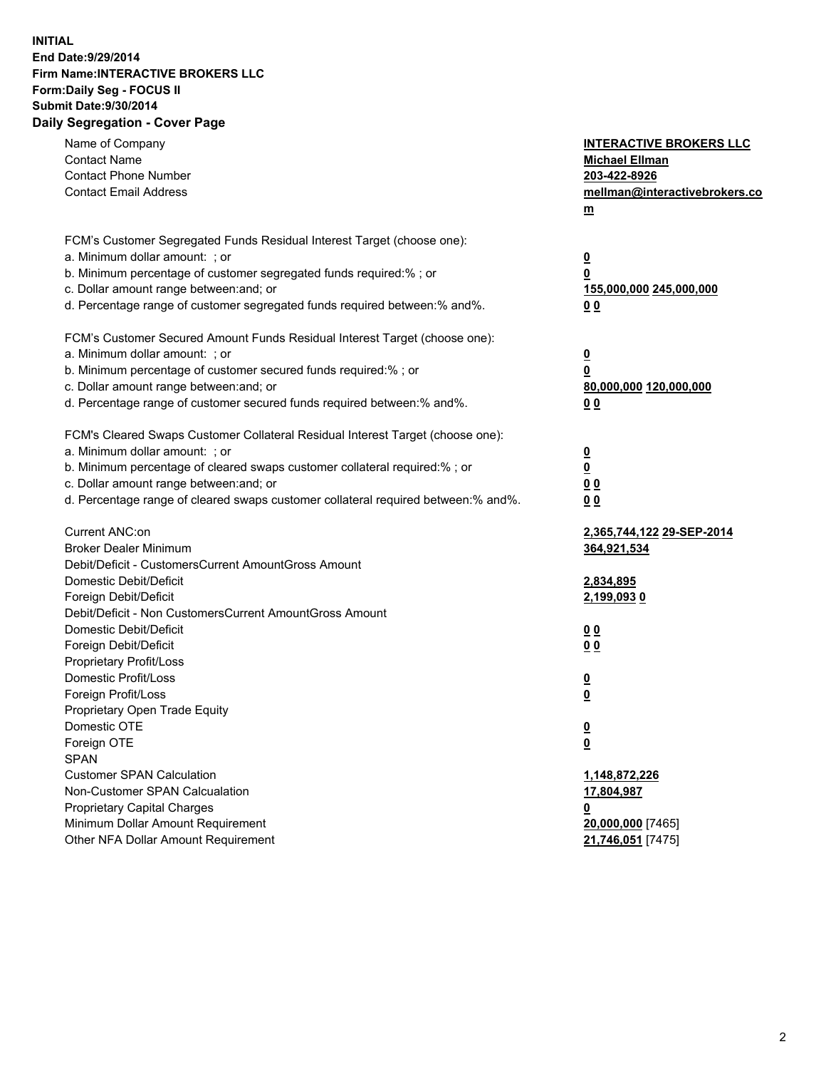## **INITIAL End Date:9/29/2014 Firm Name:INTERACTIVE BROKERS LLC Form:Daily Seg - FOCUS II Submit Date:9/30/2014 Daily Segregation - Cover Page**

| Name of Company<br><b>Contact Name</b><br><b>Contact Phone Number</b><br><b>Contact Email Address</b>    | <b>INTERACTIVE BROKERS LLC</b><br><b>Michael Ellman</b><br>203-422-8926<br>mellman@interactivebrokers.co<br>$m$ |
|----------------------------------------------------------------------------------------------------------|-----------------------------------------------------------------------------------------------------------------|
| FCM's Customer Segregated Funds Residual Interest Target (choose one):<br>a. Minimum dollar amount: ; or | $\overline{\mathbf{0}}$                                                                                         |
| b. Minimum percentage of customer segregated funds required:% ; or                                       | 0                                                                                                               |
| c. Dollar amount range between: and; or                                                                  | 155,000,000 245,000,000                                                                                         |
| d. Percentage range of customer segregated funds required between:% and%.                                | 0 <sub>0</sub>                                                                                                  |
| FCM's Customer Secured Amount Funds Residual Interest Target (choose one):                               |                                                                                                                 |
| a. Minimum dollar amount: ; or                                                                           | $\overline{\mathbf{0}}$                                                                                         |
| b. Minimum percentage of customer secured funds required:% ; or                                          | 0                                                                                                               |
| c. Dollar amount range between: and; or                                                                  | 80,000,000 120,000,000                                                                                          |
| d. Percentage range of customer secured funds required between:% and%.                                   | 0 <sub>0</sub>                                                                                                  |
| FCM's Cleared Swaps Customer Collateral Residual Interest Target (choose one):                           |                                                                                                                 |
| a. Minimum dollar amount: ; or                                                                           | $\overline{\mathbf{0}}$                                                                                         |
| b. Minimum percentage of cleared swaps customer collateral required:% ; or                               | $\overline{\mathbf{0}}$                                                                                         |
| c. Dollar amount range between: and; or                                                                  | 0 <sub>0</sub>                                                                                                  |
| d. Percentage range of cleared swaps customer collateral required between:% and%.                        | 0 <sub>0</sub>                                                                                                  |
| Current ANC:on                                                                                           | 2,365,744,122 29-SEP-2014                                                                                       |
| <b>Broker Dealer Minimum</b>                                                                             | 364,921,534                                                                                                     |
| Debit/Deficit - CustomersCurrent AmountGross Amount                                                      |                                                                                                                 |
| Domestic Debit/Deficit                                                                                   | 2,834,895                                                                                                       |
| Foreign Debit/Deficit<br>Debit/Deficit - Non CustomersCurrent AmountGross Amount                         | <u>2,199,0930</u>                                                                                               |
| Domestic Debit/Deficit                                                                                   | 0 <sub>0</sub>                                                                                                  |
| Foreign Debit/Deficit                                                                                    | 0 <sub>0</sub>                                                                                                  |
| Proprietary Profit/Loss                                                                                  |                                                                                                                 |
| Domestic Profit/Loss                                                                                     | $\overline{\mathbf{0}}$                                                                                         |
| Foreign Profit/Loss                                                                                      | $\underline{\mathbf{0}}$                                                                                        |
| Proprietary Open Trade Equity                                                                            |                                                                                                                 |
| Domestic OTE                                                                                             | <u>0</u>                                                                                                        |
| Foreign OTE                                                                                              | <u>0</u>                                                                                                        |
| <b>SPAN</b>                                                                                              |                                                                                                                 |
| <b>Customer SPAN Calculation</b>                                                                         | 1,148,872,226                                                                                                   |
| Non-Customer SPAN Calcualation                                                                           | 17,804,987                                                                                                      |
| Proprietary Capital Charges                                                                              | <u>0</u>                                                                                                        |
| Minimum Dollar Amount Requirement                                                                        | 20,000,000 [7465]                                                                                               |
| Other NFA Dollar Amount Requirement                                                                      | 21,746,051 [7475]                                                                                               |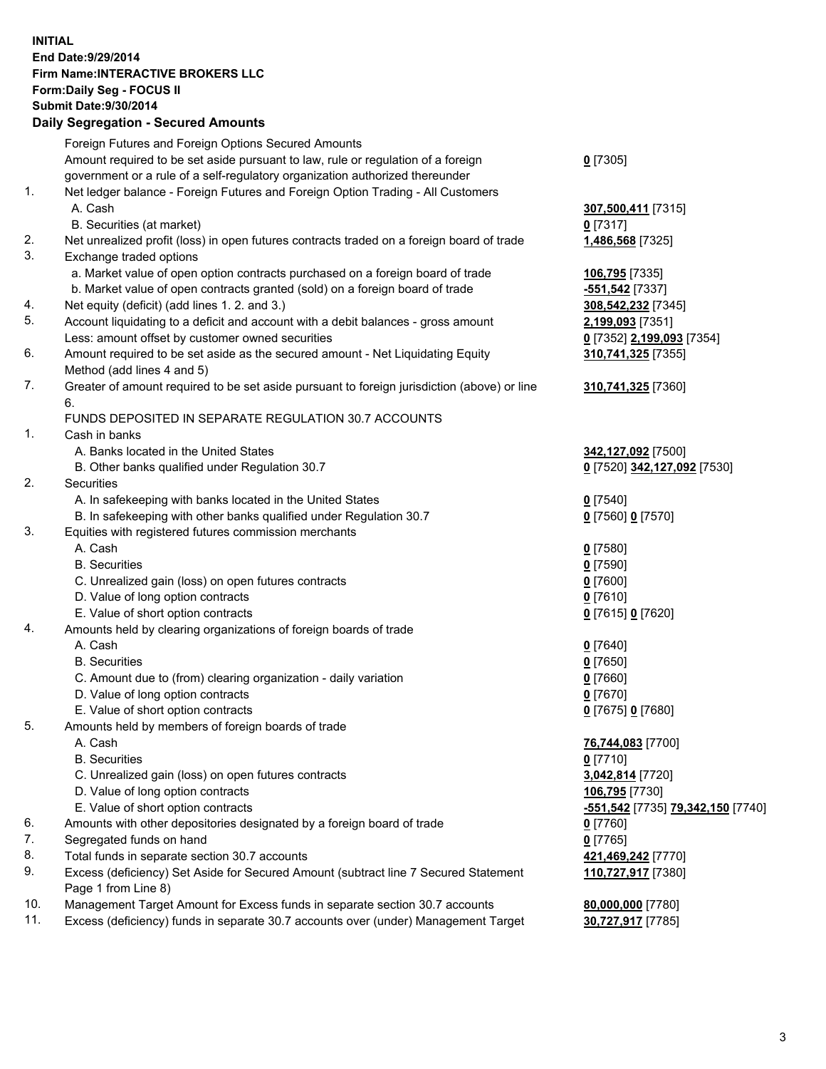## **INITIAL End Date:9/29/2014 Firm Name:INTERACTIVE BROKERS LLC Form:Daily Seg - FOCUS II Submit Date:9/30/2014 Daily Segregation - Secured Amounts**

|     | Dany Ocgregation - Oceanea Annoanta                                                                        |                                                         |
|-----|------------------------------------------------------------------------------------------------------------|---------------------------------------------------------|
|     | Foreign Futures and Foreign Options Secured Amounts                                                        |                                                         |
|     | Amount required to be set aside pursuant to law, rule or regulation of a foreign                           | $0$ [7305]                                              |
|     | government or a rule of a self-regulatory organization authorized thereunder                               |                                                         |
| 1.  | Net ledger balance - Foreign Futures and Foreign Option Trading - All Customers                            |                                                         |
|     | A. Cash                                                                                                    | 307,500,411 [7315]                                      |
|     | B. Securities (at market)                                                                                  | $0$ [7317]                                              |
| 2.  | Net unrealized profit (loss) in open futures contracts traded on a foreign board of trade                  | 1,486,568 [7325]                                        |
| 3.  | Exchange traded options                                                                                    |                                                         |
|     | a. Market value of open option contracts purchased on a foreign board of trade                             | 106,795 [7335]                                          |
|     | b. Market value of open contracts granted (sold) on a foreign board of trade                               | <mark>-551,542</mark> [7337]                            |
| 4.  | Net equity (deficit) (add lines 1.2. and 3.)                                                               | 308,542,232 [7345]                                      |
| 5.  | Account liquidating to a deficit and account with a debit balances - gross amount                          | 2,199,093 [7351]                                        |
|     | Less: amount offset by customer owned securities                                                           | 0 [7352] 2,199,093 [7354]                               |
| 6.  | Amount required to be set aside as the secured amount - Net Liquidating Equity                             | 310,741,325 [7355]                                      |
|     | Method (add lines 4 and 5)                                                                                 |                                                         |
| 7.  | Greater of amount required to be set aside pursuant to foreign jurisdiction (above) or line                | 310,741,325 [7360]                                      |
|     | 6.                                                                                                         |                                                         |
|     | FUNDS DEPOSITED IN SEPARATE REGULATION 30.7 ACCOUNTS                                                       |                                                         |
| 1.  | Cash in banks                                                                                              |                                                         |
|     | A. Banks located in the United States                                                                      | 342,127,092 [7500]                                      |
|     | B. Other banks qualified under Regulation 30.7                                                             | 0 [7520] 342,127,092 [7530]                             |
| 2.  | Securities                                                                                                 |                                                         |
|     | A. In safekeeping with banks located in the United States                                                  | $0$ [7540]                                              |
|     | B. In safekeeping with other banks qualified under Regulation 30.7                                         | 0 [7560] 0 [7570]                                       |
| 3.  | Equities with registered futures commission merchants                                                      |                                                         |
|     | A. Cash                                                                                                    | $0$ [7580]                                              |
|     | <b>B.</b> Securities                                                                                       | $0$ [7590]                                              |
|     | C. Unrealized gain (loss) on open futures contracts                                                        | $0$ [7600]                                              |
|     | D. Value of long option contracts                                                                          | $0$ [7610]                                              |
|     | E. Value of short option contracts                                                                         | 0 [7615] 0 [7620]                                       |
| 4.  | Amounts held by clearing organizations of foreign boards of trade                                          |                                                         |
|     | A. Cash                                                                                                    | $0$ [7640]                                              |
|     | <b>B.</b> Securities                                                                                       | $0$ [7650]                                              |
|     | C. Amount due to (from) clearing organization - daily variation                                            | $0$ [7660]                                              |
|     | D. Value of long option contracts                                                                          | $0$ [7670]                                              |
|     | E. Value of short option contracts                                                                         | 0 [7675] 0 [7680]                                       |
| 5.  | Amounts held by members of foreign boards of trade                                                         |                                                         |
|     | A. Cash                                                                                                    | 76,744,083 [7700]                                       |
|     | <b>B.</b> Securities                                                                                       | $0$ [7710]                                              |
|     | C. Unrealized gain (loss) on open futures contracts                                                        | 3,042,814 [7720]                                        |
|     | D. Value of long option contracts                                                                          | 106,795 [7730]                                          |
|     | E. Value of short option contracts                                                                         | <u>-<b>551,542</b> [</u> 7735] <u>79,342,150</u> [7740] |
| 6.  | Amounts with other depositories designated by a foreign board of trade                                     | $0$ [7760]                                              |
| 7.  | Segregated funds on hand                                                                                   | $0$ [7765]                                              |
| 8.  | Total funds in separate section 30.7 accounts                                                              | 421,469,242 [7770]                                      |
| 9.  | Excess (deficiency) Set Aside for Secured Amount (subtract line 7 Secured Statement<br>Page 1 from Line 8) | 110,727,917 [7380]                                      |
| 10. | Management Target Amount for Excess funds in separate section 30.7 accounts                                | 80,000,000 [7780]                                       |
| 11. | Excess (deficiency) funds in separate 30.7 accounts over (under) Management Target                         | 30,727,917 [7785]                                       |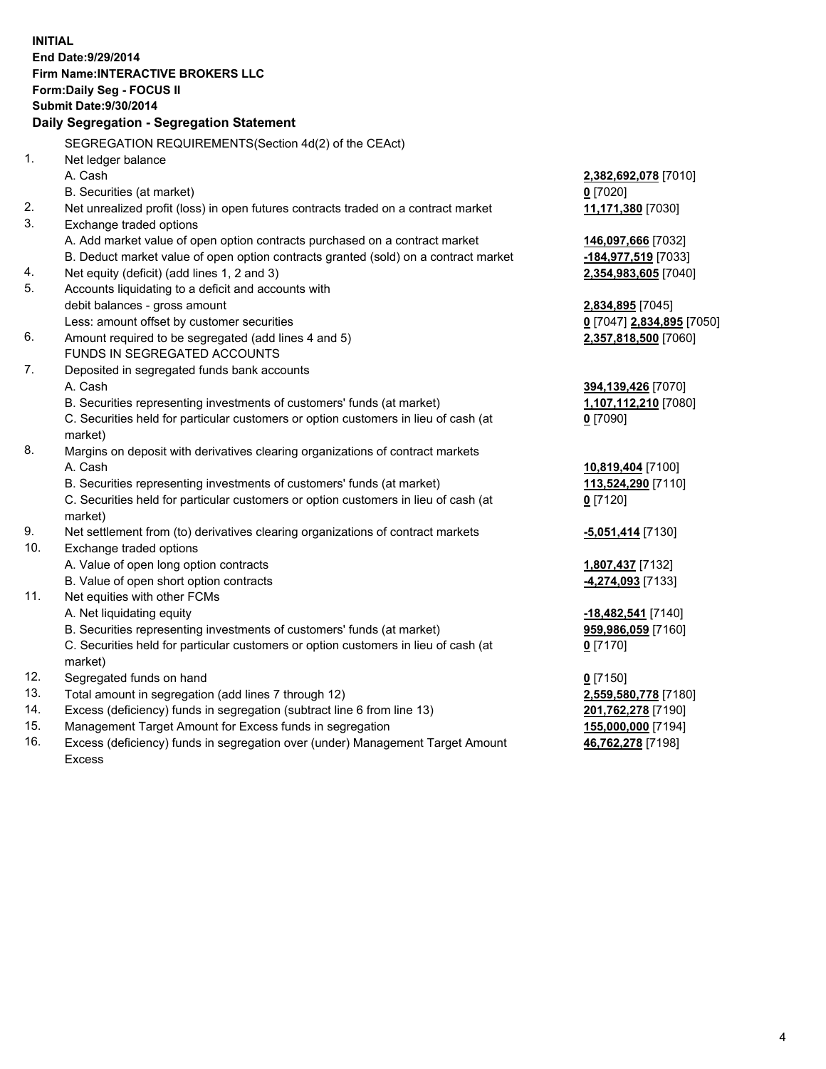**INITIAL End Date:9/29/2014 Firm Name:INTERACTIVE BROKERS LLC Form:Daily Seg - FOCUS II Submit Date:9/30/2014 Daily Segregation - Segregation Statement** SEGREGATION REQUIREMENTS(Section 4d(2) of the CEAct) 1. Net ledger balance A. Cash **2,382,692,078** [7010] B. Securities (at market) **0** [7020] 2. Net unrealized profit (loss) in open futures contracts traded on a contract market **11,171,380** [7030] 3. Exchange traded options A. Add market value of open option contracts purchased on a contract market **146,097,666** [7032] B. Deduct market value of open option contracts granted (sold) on a contract market **-184,977,519** [7033] 4. Net equity (deficit) (add lines 1, 2 and 3) **2,354,983,605** [7040] 5. Accounts liquidating to a deficit and accounts with debit balances - gross amount **2,834,895** [7045] Less: amount offset by customer securities **0** [7047] **2,834,895** [7050] 6. Amount required to be segregated (add lines 4 and 5) **2,357,818,500** [7060] FUNDS IN SEGREGATED ACCOUNTS 7. Deposited in segregated funds bank accounts A. Cash **394,139,426** [7070] B. Securities representing investments of customers' funds (at market) **1,107,112,210** [7080] C. Securities held for particular customers or option customers in lieu of cash (at market) **0** [7090] 8. Margins on deposit with derivatives clearing organizations of contract markets A. Cash **10,819,404** [7100] B. Securities representing investments of customers' funds (at market) **113,524,290** [7110] C. Securities held for particular customers or option customers in lieu of cash (at market) **0** [7120] 9. Net settlement from (to) derivatives clearing organizations of contract markets **-5,051,414** [7130] 10. Exchange traded options A. Value of open long option contracts **1,807,437** [7132] B. Value of open short option contracts **-4,274,093** [7133] 11. Net equities with other FCMs A. Net liquidating equity **-18,482,541** [7140] B. Securities representing investments of customers' funds (at market) **959,986,059** [7160] C. Securities held for particular customers or option customers in lieu of cash (at market) **0** [7170] 12. Segregated funds on hand **0** [7150] 13. Total amount in segregation (add lines 7 through 12) **2,559,580,778** [7180] 14. Excess (deficiency) funds in segregation (subtract line 6 from line 13) **201,762,278** [7190] 15. Management Target Amount for Excess funds in segregation **155,000,000** [7194]

16. Excess (deficiency) funds in segregation over (under) Management Target Amount Excess

**46,762,278** [7198]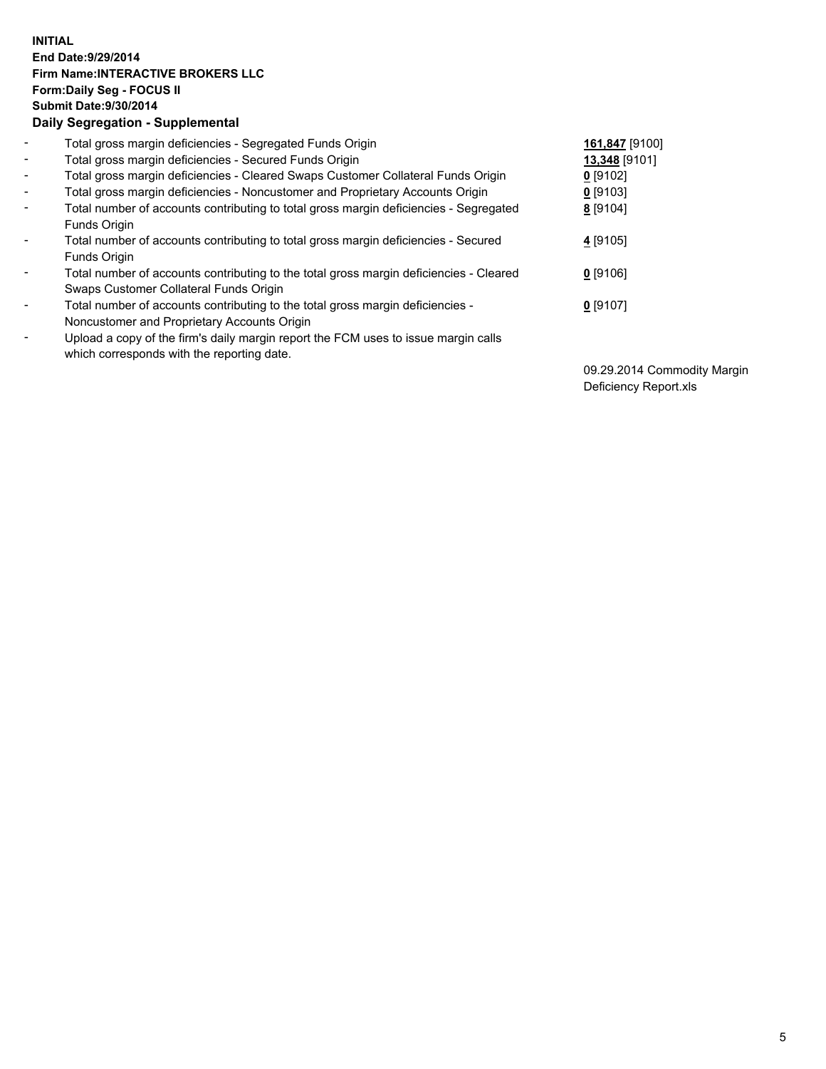## **INITIAL End Date:9/29/2014 Firm Name:INTERACTIVE BROKERS LLC Form:Daily Seg - FOCUS II Submit Date:9/30/2014 Daily Segregation - Supplemental**

| $\blacksquare$           | Total gross margin deficiencies - Segregated Funds Origin                                                                        | 161,847 [9100] |
|--------------------------|----------------------------------------------------------------------------------------------------------------------------------|----------------|
| $\blacksquare$           | Total gross margin deficiencies - Secured Funds Origin                                                                           | 13,348 [9101]  |
| $\blacksquare$           | Total gross margin deficiencies - Cleared Swaps Customer Collateral Funds Origin                                                 | $0$ [9102]     |
| $\blacksquare$           | Total gross margin deficiencies - Noncustomer and Proprietary Accounts Origin                                                    | $0$ [9103]     |
| $\blacksquare$           | Total number of accounts contributing to total gross margin deficiencies - Segregated<br>Funds Origin                            | 8 [9104]       |
| $\blacksquare$           | Total number of accounts contributing to total gross margin deficiencies - Secured<br><b>Funds Origin</b>                        | 4 [9105]       |
| $\overline{\phantom{a}}$ | Total number of accounts contributing to the total gross margin deficiencies - Cleared<br>Swaps Customer Collateral Funds Origin | $0$ [9106]     |
| -                        | Total number of accounts contributing to the total gross margin deficiencies -<br>Noncustomer and Proprietary Accounts Origin    | $0$ [9107]     |
| $\blacksquare$           | Upload a copy of the firm's daily margin report the FCM uses to issue margin calls<br>which corresponds with the reporting date. |                |

09.29.2014 Commodity Margin Deficiency Report.xls